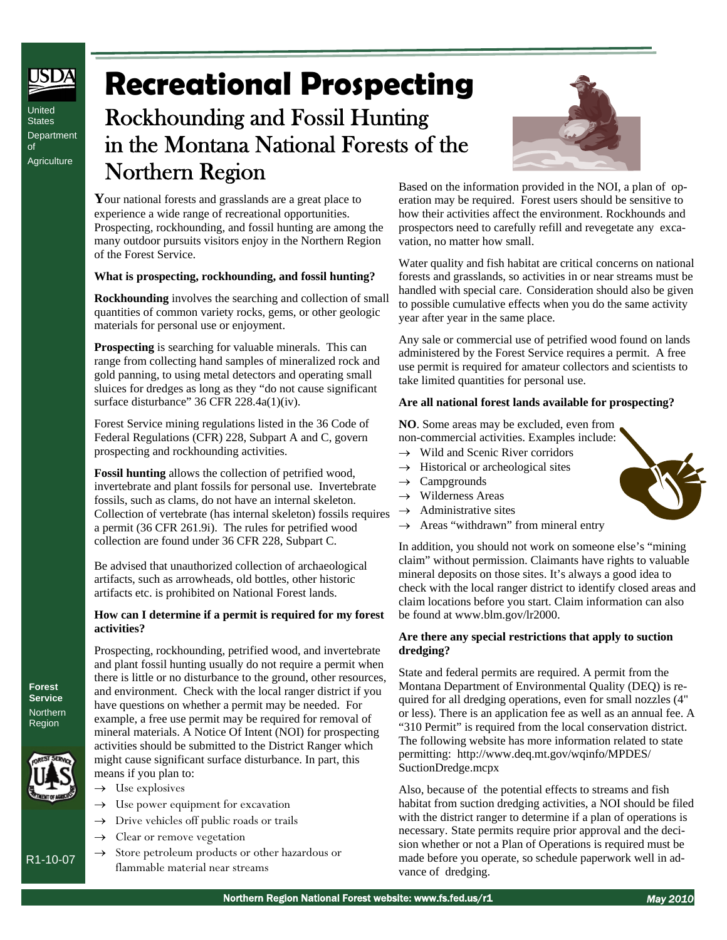United **States Department** of **Agriculture** 

# **Recreational Prospecting**

# Rockhounding and Fossil Hunting in the Montana National Forests of the Northern Region

**Y**our national forests and grasslands are a great place to experience a wide range of recreational opportunities. Prospecting, rockhounding, and fossil hunting are among the many outdoor pursuits visitors enjoy in the Northern Region of the Forest Service.

#### **What is prospecting, rockhounding, and fossil hunting?**

**Rockhounding** involves the searching and collection of small quantities of common variety rocks, gems, or other geologic materials for personal use or enjoyment.

**Prospecting** is searching for valuable minerals. This can range from collecting hand samples of mineralized rock and gold panning, to using metal detectors and operating small sluices for dredges as long as they "do not cause significant surface disturbance" 36 CFR 228.4a(1)(iv).

Forest Service mining regulations listed in the 36 Code of Federal Regulations (CFR) 228, Subpart A and C, govern prospecting and rockhounding activities.

**Fossil hunting** allows the collection of petrified wood, invertebrate and plant fossils for personal use. Invertebrate fossils, such as clams, do not have an internal skeleton. Collection of vertebrate (has internal skeleton) fossils requires a permit (36 CFR 261.9i). The rules for petrified wood collection are found under 36 CFR 228, Subpart C.

Be advised that unauthorized collection of archaeological artifacts, such as arrowheads, old bottles, other historic artifacts etc. is prohibited on National Forest lands.

#### **How can I determine if a permit is required for my forest activities?**

Prospecting, rockhounding, petrified wood, and invertebrate and plant fossil hunting usually do not require a permit when there is little or no disturbance to the ground, other resources, and environment. Check with the local ranger district if you have questions on whether a permit may be needed. For example, a free use permit may be required for removal of mineral materials. A Notice Of Intent (NOI) for prospecting activities should be submitted to the District Ranger which might cause significant surface disturbance. In part, this means if you plan to:

- $\rightarrow$  Use explosives
- $\rightarrow$  Use power equipment for excavation
- $\rightarrow$  Drive vehicles off public roads or trails
- $\rightarrow$  Clear or remove vegetation
- $\rightarrow$  Store petroleum products or other hazardous or flammable material near streams



Based on the information provided in the NOI, a plan of operation may be required. Forest users should be sensitive to how their activities affect the environment. Rockhounds and prospectors need to carefully refill and revegetate any excavation, no matter how small.

Water quality and fish habitat are critical concerns on national forests and grasslands, so activities in or near streams must be handled with special care. Consideration should also be given to possible cumulative effects when you do the same activity year after year in the same place.

Any sale or commercial use of petrified wood found on lands administered by the Forest Service requires a permit. A free use permit is required for amateur collectors and scientists to take limited quantities for personal use.

#### **Are all national forest lands available for prospecting?**

**NO**. Some areas may be excluded, even from non-commercial activities. Examples include:

- $\rightarrow$  Wild and Scenic River corridors
- $\rightarrow$  Historical or archeological sites
- $\rightarrow$  Campgrounds
- Wilderness Areas
- $\rightarrow$  Administrative sites
- $\rightarrow$  Areas "withdrawn" from mineral entry

In addition, you should not work on someone else's "mining claim" without permission. Claimants have rights to valuable mineral deposits on those sites. It's always a good idea to check with the local ranger district to identify closed areas and claim locations before you start. Claim information can also be found at www.blm.gov/lr2000.

#### **Are there any special restrictions that apply to suction dredging?**

State and federal permits are required. A permit from the Montana Department of Environmental Quality (DEQ) is required for all dredging operations, even for small nozzles (4" or less). There is an application fee as well as an annual fee. A "310 Permit" is required from the local conservation district. The following website has more information related to state permitting: http://www.deq.mt.gov/wqinfo/MPDES/ SuctionDredge.mcpx

Also, because of the potential effects to streams and fish habitat from suction dredging activities, a NOI should be filed with the district ranger to determine if a plan of operations is necessary. State permits require prior approval and the decision whether or not a Plan of Operations is required must be made before you operate, so schedule paperwork well in advance of dredging.



**Service Northern** Region

**Forest** 



R1-10-07